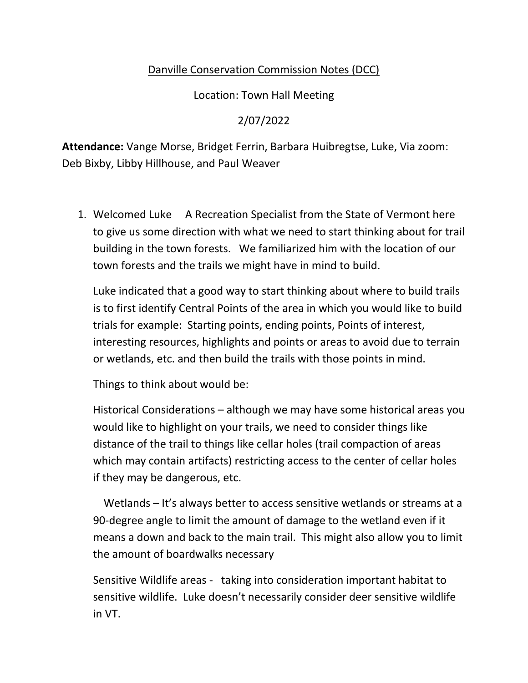## Danville Conservation Commission Notes (DCC)

Location: Town Hall Meeting

## 2/07/2022

**Attendance:** Vange Morse, Bridget Ferrin, Barbara Huibregtse, Luke, Via zoom: Deb Bixby, Libby Hillhouse, and Paul Weaver

1. Welcomed Luke A Recreation Specialist from the State of Vermont here to give us some direction with what we need to start thinking about for trail building in the town forests. We familiarized him with the location of our town forests and the trails we might have in mind to build.

Luke indicated that a good way to start thinking about where to build trails is to first identify Central Points of the area in which you would like to build trials for example: Starting points, ending points, Points of interest, interesting resources, highlights and points or areas to avoid due to terrain or wetlands, etc. and then build the trails with those points in mind.

Things to think about would be:

Historical Considerations – although we may have some historical areas you would like to highlight on your trails, we need to consider things like distance of the trail to things like cellar holes (trail compaction of areas which may contain artifacts) restricting access to the center of cellar holes if they may be dangerous, etc.

Wetlands – It's always better to access sensitive wetlands or streams at a 90-degree angle to limit the amount of damage to the wetland even if it means a down and back to the main trail. This might also allow you to limit the amount of boardwalks necessary

Sensitive Wildlife areas - taking into consideration important habitat to sensitive wildlife. Luke doesn't necessarily consider deer sensitive wildlife in VT.